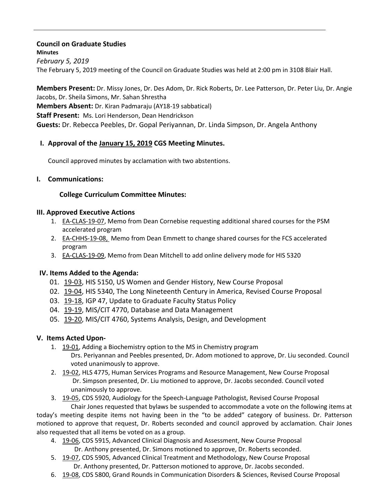# **Council on Graduate Studies Minutes**

*February 5, 2019* The February 5, 2019 meeting of the Council on Graduate Studies was held at 2:00 pm in 3108 Blair Hall.

**Members Present:** Dr. Missy Jones, Dr. Des Adom, Dr. Rick Roberts, Dr. Lee Patterson, Dr. Peter Liu, Dr. Angie Jacobs, Dr. Sheila Simons, Mr. Sahan Shrestha **Members Absent:** Dr. Kiran Padmaraju (AY18-19 sabbatical) **Staff Present:** Ms. Lori Henderson, Dean Hendrickson **Guests:** Dr. Rebecca Peebles, Dr. Gopal Periyannan, Dr. Linda Simpson, Dr. Angela Anthony

## **I. Approval of the [January](http://castle.eiu.edu/eiucgs/currentminutes/Minutes1-15-19.pdf) 15, 2019 CGS Meeting Minutes.**

Council approved minutes by acclamation with two abstentions.

### **I. Communications:**

### **College Curriculum Committee Minutes:**

#### **III. Approved Executive Actions**

- 1. [EA-CLAS-19-07,](http://castle.eiu.edu/eiucgs/exec-actions/EA-CLAS-19-07.pdf) Memo from Dean Cornebise requesting additional shared courses for the PSM accelerated program
- 2. [EA-CHHS-19-08,](http://castle.eiu.edu/eiucgs/exec-actions/EA-CHHS-19-08.pdf) Memo from Dean Emmett to change shared courses for the FCS accelerated program
- 3. [EA-CLAS-19-09,](http://castle.eiu.edu/eiucgs/exec-actions/EA-CLAS-19-09.pdf) Memo from Dean Mitchell to add online delivery mode for HIS 5320

### **IV. Items Added to the Agenda:**

- 01. [19-03,](http://castle.eiu.edu/eiucgs/currentagendaitems/agenda19-03.pdf) HIS 5150, US Women and Gender History, New Course Proposal
- 02. [19-04,](http://castle.eiu.edu/eiucgs/currentagendaitems/agenda19-04.pdf) HIS 5340, The Long Nineteenth Century in America, Revised Course Proposal
- 03. [19-18,](http://castle.eiu.edu/eiucgs/currentagendaitems/agenda19-18.pdf) IGP 47, Update to Graduate Faculty Status Policy
- 04. [19-19,](http://castle.eiu.edu/eiucgs/currentagendaitems/agenda19-19.pdf) MIS/CIT 4770, Database and Data Management
- 05. [19-20,](http://castle.eiu.edu/eiucgs/currentagendaitems/agenda19-20.pdf) MIS/CIT 4760, Systems Analysis, Design, and Development

### **V. Items Acted Upon-**

- 1. [19-01,](http://castle.eiu.edu/eiucgs/currentagendaitems/agenda19-01.pdf) Adding a Biochemistry option to the MS in Chemistry program
	- Drs. Periyannan and Peebles presented, Dr. Adom motioned to approve, Dr. Liu seconded. Council voted unanimously to approve.
- 2. [19-02,](http://castle.eiu.edu/eiucgs/currentagendaitems/agenda19-02.pdf) HLS 4775, Human Services Programs and Resource Management, New Course Proposal Dr. Simpson presented, Dr. Liu motioned to approve, Dr. Jacobs seconded. Council voted unanimously to approve.
- 3. [19-05,](http://castle.eiu.edu/eiucgs/currentagendaitems/agenda19-05.pdf) CDS 5920, Audiology for the Speech-Language Pathologist, Revised Course Proposal Chair Jones requested that bylaws be suspended to accommodate a vote on the following items at

today's meeting despite items not having been in the "to be added" category of business. Dr. Patterson motioned to approve that request, Dr. Roberts seconded and council approved by acclamation. Chair Jones also requested that all items be voted on as a group.

- 4. [19-06,](http://castle.eiu.edu/eiucgs/currentagendaitems/agenda19-06.pdf) CDS 5915, Advanced Clinical Diagnosis and Assessment, New Course Proposal Dr. Anthony presented, Dr. Simons motioned to approve, Dr. Roberts seconded.
- 5. [19-07,](http://castle.eiu.edu/eiucgs/currentagendaitems/agenda19-07.pdf) CDS 5905, Advanced Clinical Treatment and Methodology, New Course Proposal Dr. Anthony presented, Dr. Patterson motioned to approve, Dr. Jacobs seconded.
- 6. [19-08,](http://castle.eiu.edu/eiucgs/currentagendaitems/agenda19-08.pdf) CDS 5800, Grand Rounds in Communication Disorders & Sciences, Revised Course Proposal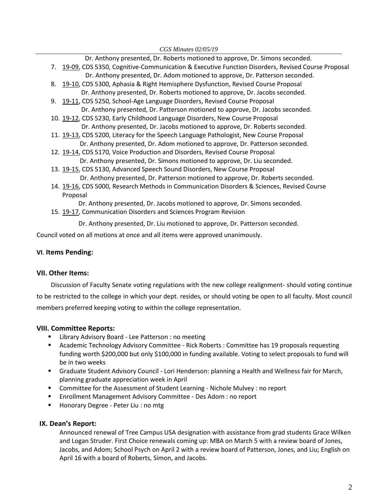Dr. Anthony presented, Dr. Roberts motioned to approve, Dr. Simons seconded.

- 7. [19-09,](http://castle.eiu.edu/eiucgs/currentagendaitems/agenda19-09.pdf) CDS 5350, Cognitive-Communication & Executive Function Disorders, Revised Course Proposal
- Dr. Anthony presented, Dr. Adom motioned to approve, Dr. Patterson seconded. 8. [19-10,](http://castle.eiu.edu/eiucgs/currentagendaitems/agenda19-10.pdf) CDS 5300, Aphasia & Right Hemisphere Dysfunction, Revised Course Proposal
	- Dr. Anthony presented, Dr. Roberts motioned to approve, Dr. Jacobs seconded.
- 9. [19-11,](http://castle.eiu.edu/eiucgs/currentagendaitems/agenda19-11.pdf) CDS 5250, School-Age Language Disorders, Revised Course Proposal Dr. Anthony presented, Dr. Patterson motioned to approve, Dr. Jacobs seconded.
- 10. [19-12,](http://castle.eiu.edu/eiucgs/currentagendaitems/agenda19-12.pdf) CDS 5230, Early Childhood Language Disorders, New Course Proposal Dr. Anthony presented, Dr. Jacobs motioned to approve, Dr. Roberts seconded.
- 11. [19-13,](http://castle.eiu.edu/eiucgs/currentagendaitems/agenda19-13.pdf) CDS 5200, Literacy for the Speech Language Pathologist, New Course Proposal Dr. Anthony presented, Dr. Adom motioned to approve, Dr. Patterson seconded.
- 12. [19-14,](http://castle.eiu.edu/eiucgs/currentagendaitems/agenda19-14.pdf) CDS 5170, Voice Production and Disorders, Revised Course Proposal Dr. Anthony presented, Dr. Simons motioned to approve, Dr. Liu seconded.
- 13. [19-15,](http://castle.eiu.edu/eiucgs/currentagendaitems/agenda19-15.pdf) CDS 5130, Advanced Speech Sound Disorders, New Course Proposal Dr. Anthony presented, Dr. Patterson motioned to approve, Dr. Roberts seconded.
- 14. [19-16,](http://castle.eiu.edu/eiucgs/currentagendaitems/agenda19-16.pdf) CDS 5000, Research Methods in Communication Disorders & Sciences, Revised Course Proposal
	- Dr. Anthony presented, Dr. Jacobs motioned to approve, Dr. Simons seconded.
- 15. [19-17,](http://castle.eiu.edu/eiucgs/currentagendaitems/agenda19-17.pdf) Communication Disorders and Sciences Program Revision

Dr. Anthony presented, Dr. Liu motioned to approve, Dr. Patterson seconded.

Council voted on all motions at once and all items were approved unanimously.

#### **VI**. **Items Pending:**

### **VII. Other Items:**

 Discussion of Faculty Senate voting regulations with the new college realignment- should voting continue to be restricted to the college in which your dept. resides, or should voting be open to all faculty. Most council members preferred keeping voting to within the college representation.

### **VIII. Committee Reports:**

- **E** Library Advisory Board Lee Patterson: no meeting
- Academic Technology Advisory Committee Rick Roberts : Committee has 19 proposals requesting funding worth \$200,000 but only \$100,000 in funding available. Voting to select proposals to fund will be in two weeks
- Graduate Student Advisory Council Lori Henderson: planning a Health and Wellness fair for March, planning graduate appreciation week in April
- Committee for the Assessment of Student Learning Nichole Mulvey : no report
- Enrollment Management Advisory Committee Des Adom : no report
- Honorary Degree Peter Liu : no mtg

#### **IX. Dean's Report:**

Announced renewal of Tree Campus USA designation with assistance from grad students Grace Wilken and Logan Struder. First Choice renewals coming up: MBA on March 5 with a review board of Jones, Jacobs, and Adom; School Psych on April 2 with a review board of Patterson, Jones, and Liu; English on April 16 with a board of Roberts, Simon, and Jacobs.